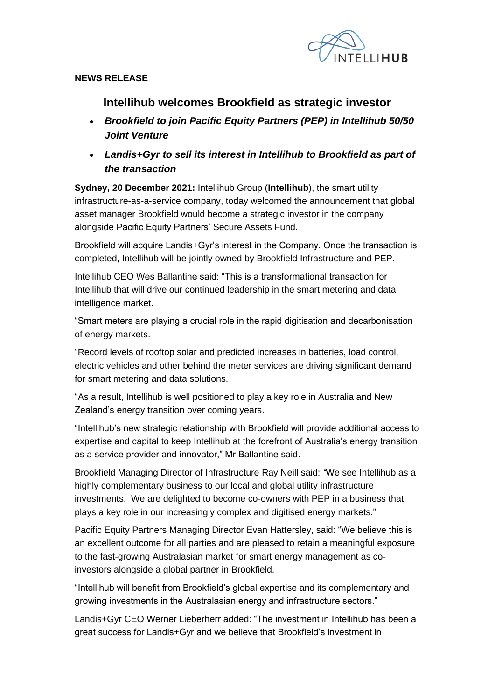

#### **NEWS RELEASE**

# **Intellihub welcomes Brookfield as strategic investor**

- *Brookfield to join Pacific Equity Partners (PEP) in Intellihub 50/50 Joint Venture*
- *Landis+Gyr to sell its interest in Intellihub to Brookfield as part of the transaction*

**Sydney, 20 December 2021:** Intellihub Group (**Intellihub**), the smart utility infrastructure-as-a-service company, today welcomed the announcement that global asset manager Brookfield would become a strategic investor in the company alongside Pacific Equity Partners' Secure Assets Fund.

Brookfield will acquire Landis+Gyr's interest in the Company. Once the transaction is completed, Intellihub will be jointly owned by Brookfield Infrastructure and PEP.

Intellihub CEO Wes Ballantine said: "This is a transformational transaction for Intellihub that will drive our continued leadership in the smart metering and data intelligence market.

"Smart meters are playing a crucial role in the rapid digitisation and decarbonisation of energy markets.

"Record levels of rooftop solar and predicted increases in batteries, load control, electric vehicles and other behind the meter services are driving significant demand for smart metering and data solutions.

"As a result, Intellihub is well positioned to play a key role in Australia and New Zealand's energy transition over coming years.

"Intellihub's new strategic relationship with Brookfield will provide additional access to expertise and capital to keep Intellihub at the forefront of Australia's energy transition as a service provider and innovator," Mr Ballantine said.

Brookfield Managing Director of Infrastructure Ray Neill said: *"*We see Intellihub as a highly complementary business to our local and global utility infrastructure investments. We are delighted to become co-owners with PEP in a business that plays a key role in our increasingly complex and digitised energy markets."

Pacific Equity Partners Managing Director Evan Hattersley, said: "We believe this is an excellent outcome for all parties and are pleased to retain a meaningful exposure to the fast-growing Australasian market for smart energy management as coinvestors alongside a global partner in Brookfield.

"Intellihub will benefit from Brookfield's global expertise and its complementary and growing investments in the Australasian energy and infrastructure sectors."

Landis+Gyr CEO Werner Lieberherr added: "The investment in Intellihub has been a great success for Landis+Gyr and we believe that Brookfield's investment in